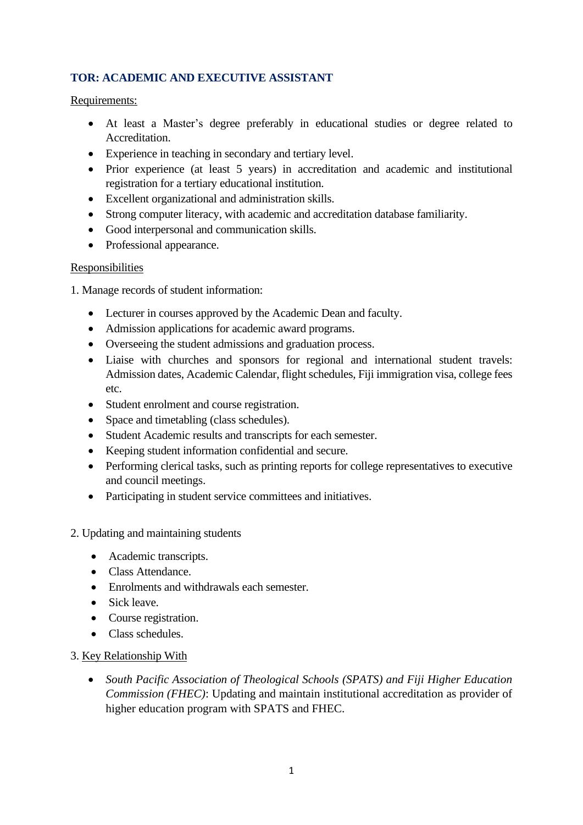# **TOR: ACADEMIC AND EXECUTIVE ASSISTANT**

### Requirements:

- At least a Master's degree preferably in educational studies or degree related to Accreditation.
- Experience in teaching in secondary and tertiary level.
- Prior experience (at least 5 years) in accreditation and academic and institutional registration for a tertiary educational institution.
- Excellent organizational and administration skills.
- Strong computer literacy, with academic and accreditation database familiarity.
- Good interpersonal and communication skills.
- Professional appearance.

### Responsibilities

1. Manage records of student information:

- Lecturer in courses approved by the Academic Dean and faculty.
- Admission applications for academic award programs.
- Overseeing the student admissions and graduation process.
- Liaise with churches and sponsors for regional and international student travels: Admission dates, Academic Calendar, flight schedules, Fiji immigration visa, college fees etc.
- Student enrolment and course registration.
- Space and timetabling (class schedules).
- Student Academic results and transcripts for each semester.
- Keeping student information confidential and secure.
- Performing clerical tasks, such as printing reports for college representatives to executive and council meetings.
- Participating in student service committees and initiatives.

#### 2. Updating and maintaining students

- Academic transcripts.
- Class Attendance.
- Enrolments and withdrawals each semester.
- Sick leave.
- Course registration.
- Class schedules.

### 3. Key Relationship With

• *South Pacific Association of Theological Schools (SPATS) and Fiji Higher Education Commission (FHEC)*: Updating and maintain institutional accreditation as provider of higher education program with SPATS and FHEC.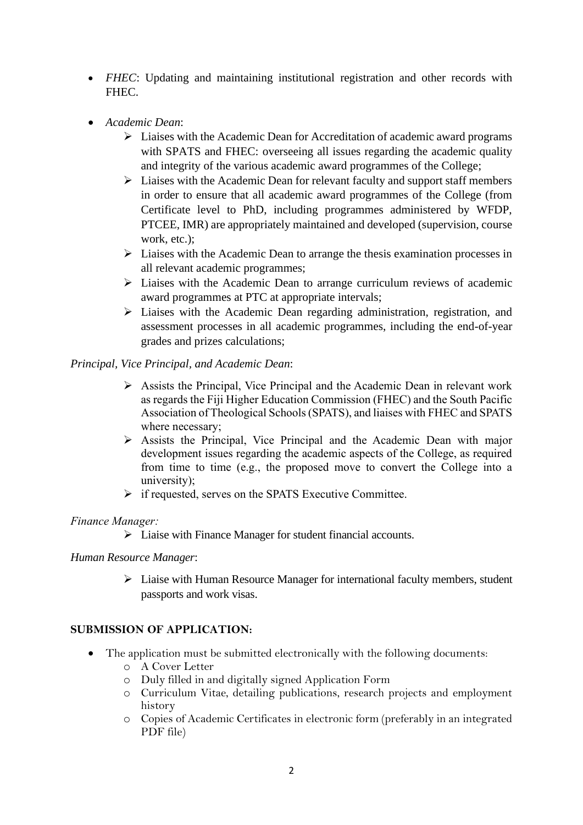- *FHEC*: Updating and maintaining institutional registration and other records with FHEC.
- *Academic Dean*:
	- ➢ Liaises with the Academic Dean for Accreditation of academic award programs with SPATS and FHEC: overseeing all issues regarding the academic quality and integrity of the various academic award programmes of the College;
	- ➢ Liaises with the Academic Dean for relevant faculty and support staff members in order to ensure that all academic award programmes of the College (from Certificate level to PhD, including programmes administered by WFDP, PTCEE, IMR) are appropriately maintained and developed (supervision, course work, etc.);
	- ➢ Liaises with the Academic Dean to arrange the thesis examination processes in all relevant academic programmes;
	- ➢ Liaises with the Academic Dean to arrange curriculum reviews of academic award programmes at PTC at appropriate intervals;
	- ➢ Liaises with the Academic Dean regarding administration, registration, and assessment processes in all academic programmes, including the end-of-year grades and prizes calculations;

### *Principal, Vice Principal, and Academic Dean*:

- ➢ Assists the Principal, Vice Principal and the Academic Dean in relevant work as regards the Fiji Higher Education Commission (FHEC) and the South Pacific Association of Theological Schools (SPATS), and liaises with FHEC and SPATS where necessary;
- ➢ Assists the Principal, Vice Principal and the Academic Dean with major development issues regarding the academic aspects of the College, as required from time to time (e.g., the proposed move to convert the College into a university);
- ➢ if requested, serves on the SPATS Executive Committee.

#### *Finance Manager:*

➢ Liaise with Finance Manager for student financial accounts.

#### *Human Resource Manager*:

➢ Liaise with Human Resource Manager for international faculty members, student passports and work visas.

### **SUBMISSION OF APPLICATION:**

- The application must be submitted electronically with the following documents:
	- o A Cover Letter
	- o Duly filled in and digitally signed Application Form
	- o Curriculum Vitae, detailing publications, research projects and employment history
	- o Copies of Academic Certificates in electronic form (preferably in an integrated PDF file)